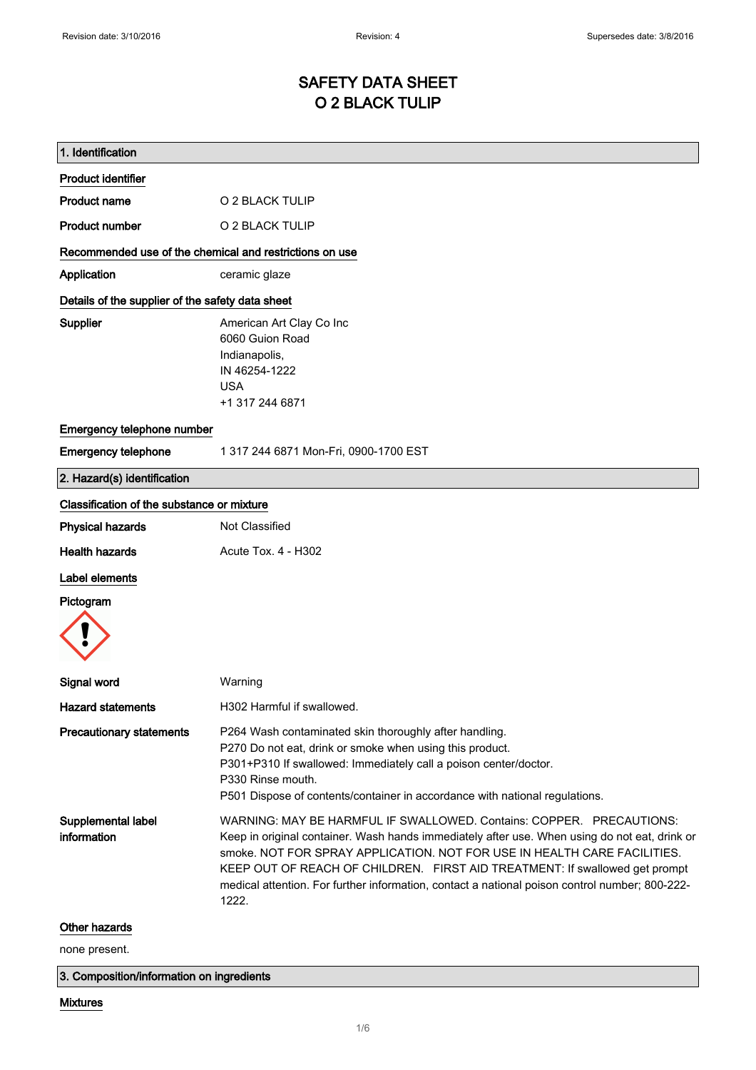# SAFETY DATA SHEET O 2 BLACK TULIP

| 1. Identification                                       |                                                                                                                                                                                                                                                                                                                                                                                                                                             |  |
|---------------------------------------------------------|---------------------------------------------------------------------------------------------------------------------------------------------------------------------------------------------------------------------------------------------------------------------------------------------------------------------------------------------------------------------------------------------------------------------------------------------|--|
| <b>Product identifier</b>                               |                                                                                                                                                                                                                                                                                                                                                                                                                                             |  |
| <b>Product name</b>                                     | O 2 BLACK TULIP                                                                                                                                                                                                                                                                                                                                                                                                                             |  |
| <b>Product number</b>                                   | O 2 BLACK TULIP                                                                                                                                                                                                                                                                                                                                                                                                                             |  |
| Recommended use of the chemical and restrictions on use |                                                                                                                                                                                                                                                                                                                                                                                                                                             |  |
| Application                                             | ceramic glaze                                                                                                                                                                                                                                                                                                                                                                                                                               |  |
| Details of the supplier of the safety data sheet        |                                                                                                                                                                                                                                                                                                                                                                                                                                             |  |
| Supplier                                                | American Art Clay Co Inc<br>6060 Guion Road<br>Indianapolis,<br>IN 46254-1222<br><b>USA</b><br>+1 317 244 6871                                                                                                                                                                                                                                                                                                                              |  |
| Emergency telephone number                              |                                                                                                                                                                                                                                                                                                                                                                                                                                             |  |
| <b>Emergency telephone</b>                              | 1 317 244 6871 Mon-Fri, 0900-1700 EST                                                                                                                                                                                                                                                                                                                                                                                                       |  |
| 2. Hazard(s) identification                             |                                                                                                                                                                                                                                                                                                                                                                                                                                             |  |
| Classification of the substance or mixture              |                                                                                                                                                                                                                                                                                                                                                                                                                                             |  |
| <b>Physical hazards</b>                                 | Not Classified                                                                                                                                                                                                                                                                                                                                                                                                                              |  |
| <b>Health hazards</b>                                   | Acute Tox. 4 - H302                                                                                                                                                                                                                                                                                                                                                                                                                         |  |
| <b>Label elements</b><br>Pictogram                      |                                                                                                                                                                                                                                                                                                                                                                                                                                             |  |
|                                                         |                                                                                                                                                                                                                                                                                                                                                                                                                                             |  |
| <b>Signal word</b>                                      | Warning                                                                                                                                                                                                                                                                                                                                                                                                                                     |  |
| <b>Hazard statements</b>                                | H302 Harmful if swallowed                                                                                                                                                                                                                                                                                                                                                                                                                   |  |
| <b>Precautionary statements</b>                         | P264 Wash contaminated skin thoroughly after handling.<br>P270 Do not eat, drink or smoke when using this product.<br>P301+P310 If swallowed: Immediately call a poison center/doctor.<br>P330 Rinse mouth.<br>P501 Dispose of contents/container in accordance with national regulations.                                                                                                                                                  |  |
| Supplemental label<br>information                       | WARNING: MAY BE HARMFUL IF SWALLOWED, Contains: COPPER. PRECAUTIONS:<br>Keep in original container. Wash hands immediately after use. When using do not eat, drink or<br>smoke. NOT FOR SPRAY APPLICATION. NOT FOR USE IN HEALTH CARE FACILITIES.<br>KEEP OUT OF REACH OF CHILDREN. FIRST AID TREATMENT: If swallowed get prompt<br>medical attention. For further information, contact a national poison control number; 800-222-<br>1222. |  |
| Other hazards                                           |                                                                                                                                                                                                                                                                                                                                                                                                                                             |  |
| none present.                                           |                                                                                                                                                                                                                                                                                                                                                                                                                                             |  |

3. Composition/information on ingredients

### Mixtures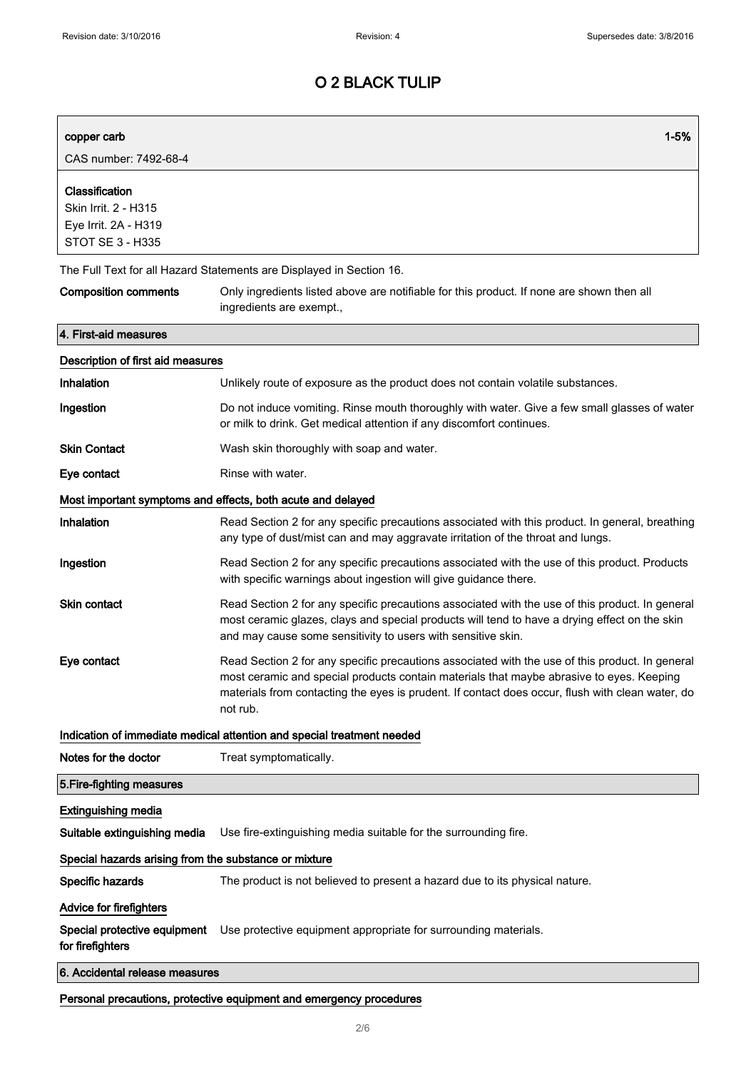| copper carb                                                                        | $1 - 5%$                                                                                                                                                                                                                                                                                                    |  |  |
|------------------------------------------------------------------------------------|-------------------------------------------------------------------------------------------------------------------------------------------------------------------------------------------------------------------------------------------------------------------------------------------------------------|--|--|
| CAS number: 7492-68-4                                                              |                                                                                                                                                                                                                                                                                                             |  |  |
| Classification<br>Skin Irrit. 2 - H315<br>Eye Irrit. 2A - H319<br>STOT SE 3 - H335 |                                                                                                                                                                                                                                                                                                             |  |  |
|                                                                                    | The Full Text for all Hazard Statements are Displayed in Section 16.                                                                                                                                                                                                                                        |  |  |
| <b>Composition comments</b>                                                        | Only ingredients listed above are notifiable for this product. If none are shown then all<br>ingredients are exempt.,                                                                                                                                                                                       |  |  |
| 4. First-aid measures                                                              |                                                                                                                                                                                                                                                                                                             |  |  |
| Description of first aid measures                                                  |                                                                                                                                                                                                                                                                                                             |  |  |
| <b>Inhalation</b>                                                                  | Unlikely route of exposure as the product does not contain volatile substances.                                                                                                                                                                                                                             |  |  |
| Ingestion                                                                          | Do not induce vomiting. Rinse mouth thoroughly with water. Give a few small glasses of water<br>or milk to drink. Get medical attention if any discomfort continues.                                                                                                                                        |  |  |
| <b>Skin Contact</b>                                                                | Wash skin thoroughly with soap and water.                                                                                                                                                                                                                                                                   |  |  |
| Eye contact                                                                        | Rinse with water.                                                                                                                                                                                                                                                                                           |  |  |
|                                                                                    | Most important symptoms and effects, both acute and delayed                                                                                                                                                                                                                                                 |  |  |
| <b>Inhalation</b>                                                                  | Read Section 2 for any specific precautions associated with this product. In general, breathing<br>any type of dust/mist can and may aggravate irritation of the throat and lungs.                                                                                                                          |  |  |
| Ingestion                                                                          | Read Section 2 for any specific precautions associated with the use of this product. Products<br>with specific warnings about ingestion will give guidance there.                                                                                                                                           |  |  |
| <b>Skin contact</b>                                                                | Read Section 2 for any specific precautions associated with the use of this product. In general<br>most ceramic glazes, clays and special products will tend to have a drying effect on the skin<br>and may cause some sensitivity to users with sensitive skin.                                            |  |  |
| Eye contact                                                                        | Read Section 2 for any specific precautions associated with the use of this product. In general<br>most ceramic and special products contain materials that maybe abrasive to eyes. Keeping<br>materials from contacting the eyes is prudent. If contact does occur, flush with clean water, do<br>not rub. |  |  |
|                                                                                    | Indication of immediate medical attention and special treatment needed                                                                                                                                                                                                                                      |  |  |
| Notes for the doctor                                                               | Treat symptomatically.                                                                                                                                                                                                                                                                                      |  |  |
| 5. Fire-fighting measures                                                          |                                                                                                                                                                                                                                                                                                             |  |  |
| <b>Extinguishing media</b>                                                         |                                                                                                                                                                                                                                                                                                             |  |  |
| Suitable extinguishing media                                                       | Use fire-extinguishing media suitable for the surrounding fire.                                                                                                                                                                                                                                             |  |  |
| Special hazards arising from the substance or mixture                              |                                                                                                                                                                                                                                                                                                             |  |  |
| Specific hazards                                                                   | The product is not believed to present a hazard due to its physical nature.                                                                                                                                                                                                                                 |  |  |
| <b>Advice for firefighters</b>                                                     |                                                                                                                                                                                                                                                                                                             |  |  |
| Special protective equipment<br>for firefighters                                   | Use protective equipment appropriate for surrounding materials.                                                                                                                                                                                                                                             |  |  |
| 6. Accidental release measures                                                     |                                                                                                                                                                                                                                                                                                             |  |  |
|                                                                                    | Personal precautions, protective equipment and emergency procedures                                                                                                                                                                                                                                         |  |  |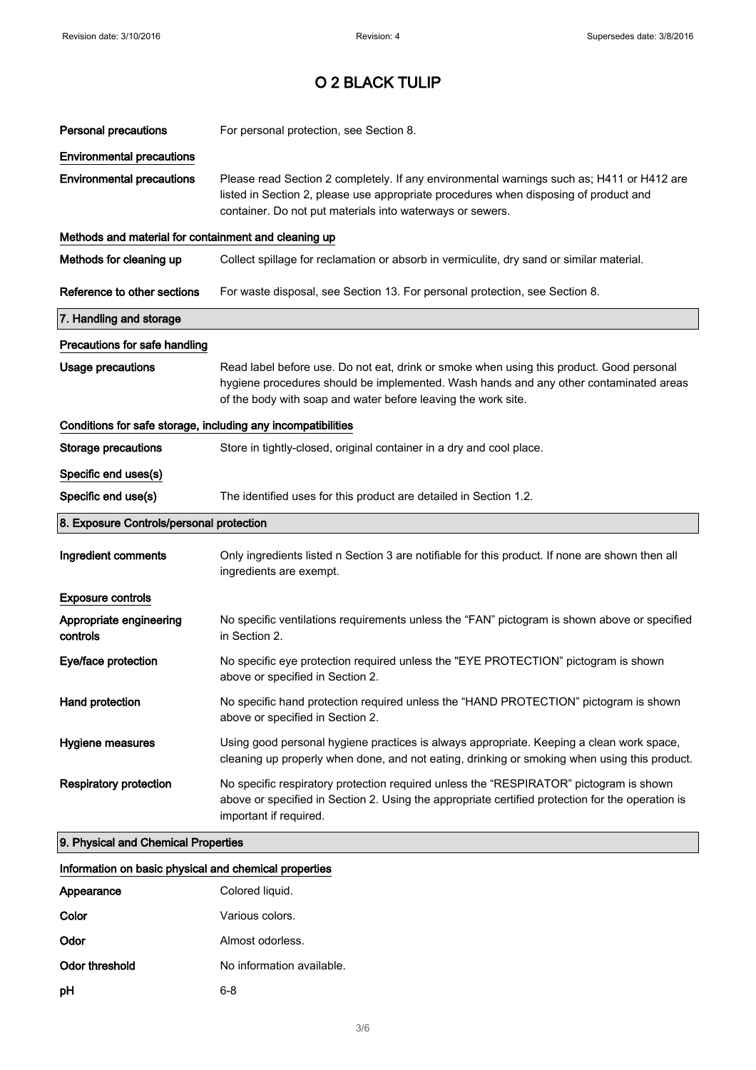| <b>Personal precautions</b>                                  | For personal protection, see Section 8.                                                                                                                                                                                                            |  |  |
|--------------------------------------------------------------|----------------------------------------------------------------------------------------------------------------------------------------------------------------------------------------------------------------------------------------------------|--|--|
| <b>Environmental precautions</b>                             |                                                                                                                                                                                                                                                    |  |  |
| <b>Environmental precautions</b>                             | Please read Section 2 completely. If any environmental warnings such as; H411 or H412 are<br>listed in Section 2, please use appropriate procedures when disposing of product and<br>container. Do not put materials into waterways or sewers.     |  |  |
| Methods and material for containment and cleaning up         |                                                                                                                                                                                                                                                    |  |  |
| Methods for cleaning up                                      | Collect spillage for reclamation or absorb in vermiculite, dry sand or similar material.                                                                                                                                                           |  |  |
| Reference to other sections                                  | For waste disposal, see Section 13. For personal protection, see Section 8.                                                                                                                                                                        |  |  |
| 7. Handling and storage                                      |                                                                                                                                                                                                                                                    |  |  |
| Precautions for safe handling                                |                                                                                                                                                                                                                                                    |  |  |
| Usage precautions                                            | Read label before use. Do not eat, drink or smoke when using this product. Good personal<br>hygiene procedures should be implemented. Wash hands and any other contaminated areas<br>of the body with soap and water before leaving the work site. |  |  |
| Conditions for safe storage, including any incompatibilities |                                                                                                                                                                                                                                                    |  |  |
| <b>Storage precautions</b>                                   | Store in tightly-closed, original container in a dry and cool place.                                                                                                                                                                               |  |  |
| Specific end uses(s)                                         |                                                                                                                                                                                                                                                    |  |  |
| Specific end use(s)                                          | The identified uses for this product are detailed in Section 1.2.                                                                                                                                                                                  |  |  |
|                                                              | 8. Exposure Controls/personal protection                                                                                                                                                                                                           |  |  |
| Ingredient comments                                          | Only ingredients listed n Section 3 are notifiable for this product. If none are shown then all<br>ingredients are exempt.                                                                                                                         |  |  |
| <b>Exposure controls</b>                                     |                                                                                                                                                                                                                                                    |  |  |
| Appropriate engineering<br>controls                          | No specific ventilations requirements unless the "FAN" pictogram is shown above or specified<br>in Section 2.                                                                                                                                      |  |  |
| Eye/face protection                                          | No specific eye protection required unless the "EYE PROTECTION" pictogram is shown<br>above or specified in Section 2.                                                                                                                             |  |  |
| Hand protection                                              | No specific hand protection required unless the "HAND PROTECTION" pictogram is shown<br>above or specified in Section 2.                                                                                                                           |  |  |
| Hygiene measures                                             | Using good personal hygiene practices is always appropriate. Keeping a clean work space,<br>cleaning up properly when done, and not eating, drinking or smoking when using this product.                                                           |  |  |
| <b>Respiratory protection</b>                                | No specific respiratory protection required unless the "RESPIRATOR" pictogram is shown<br>above or specified in Section 2. Using the appropriate certified protection for the operation is<br>important if required.                               |  |  |
| 9. Physical and Chemical Properties                          |                                                                                                                                                                                                                                                    |  |  |

| Information on basic physical and chemical properties |  |  |  |
|-------------------------------------------------------|--|--|--|
|                                                       |  |  |  |

| Appearance     | Colored liquid.           |
|----------------|---------------------------|
| Color          | Various colors.           |
| Odor           | Almost odorless.          |
| Odor threshold | No information available. |
| рH             | 6-8                       |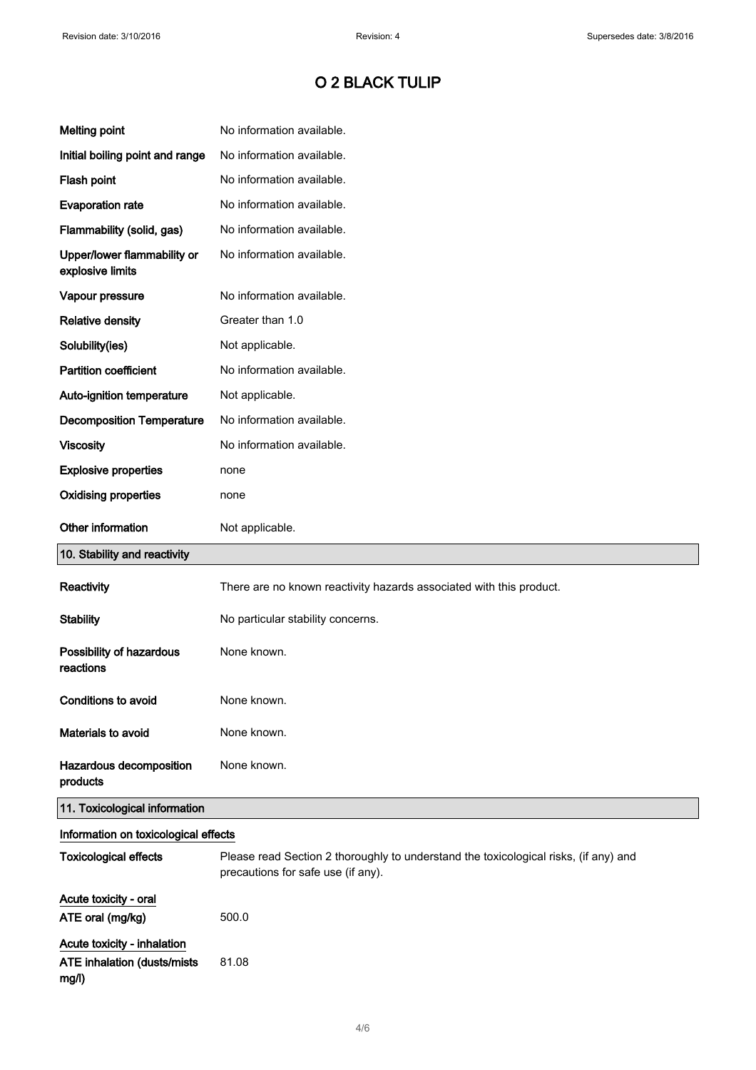| <b>Melting point</b>                            | No information available.                                                                                                  |
|-------------------------------------------------|----------------------------------------------------------------------------------------------------------------------------|
| Initial boiling point and range                 | No information available.                                                                                                  |
| Flash point                                     | No information available.                                                                                                  |
| <b>Evaporation rate</b>                         | No information available.                                                                                                  |
| Flammability (solid, gas)                       | No information available.                                                                                                  |
| Upper/lower flammability or<br>explosive limits | No information available.                                                                                                  |
| Vapour pressure                                 | No information available.                                                                                                  |
| <b>Relative density</b>                         | Greater than 1.0                                                                                                           |
| Solubility(ies)                                 | Not applicable.                                                                                                            |
| <b>Partition coefficient</b>                    | No information available.                                                                                                  |
| Auto-ignition temperature                       | Not applicable.                                                                                                            |
| <b>Decomposition Temperature</b>                | No information available.                                                                                                  |
| <b>Viscosity</b>                                | No information available.                                                                                                  |
| <b>Explosive properties</b>                     | none                                                                                                                       |
| <b>Oxidising properties</b>                     | none                                                                                                                       |
| Other information                               | Not applicable.                                                                                                            |
| 10. Stability and reactivity                    |                                                                                                                            |
|                                                 |                                                                                                                            |
| Reactivity                                      | There are no known reactivity hazards associated with this product.                                                        |
| <b>Stability</b>                                | No particular stability concerns.                                                                                          |
| Possibility of hazardous<br>reactions           | None known.                                                                                                                |
| <b>Conditions to avoid</b>                      | None known.                                                                                                                |
| Materials to avoid                              | None known.                                                                                                                |
| Hazardous decomposition<br>products             | None known.                                                                                                                |
| 11. Toxicological information                   |                                                                                                                            |
| Information on toxicological effects            |                                                                                                                            |
| <b>Toxicological effects</b>                    | Please read Section 2 thoroughly to understand the toxicological risks, (if any) and<br>precautions for safe use (if any). |
| Acute toxicity - oral<br>ATE oral (mg/kg)       | 500.0                                                                                                                      |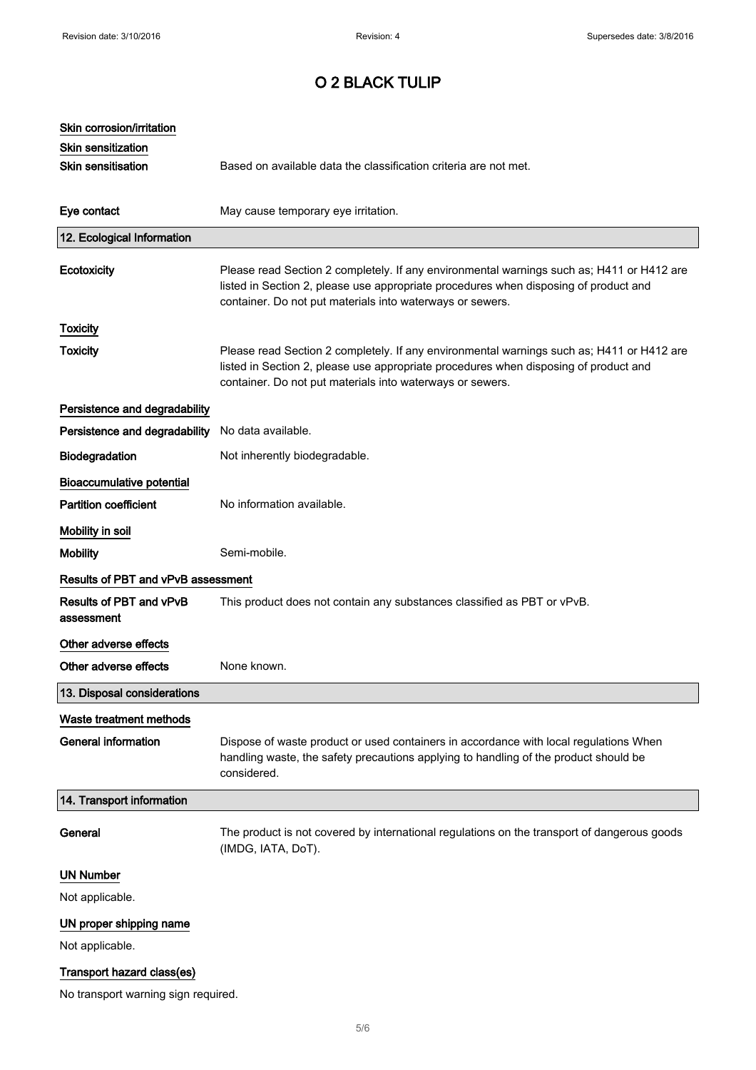| Skin corrosion/irritation                |                                                                                                                                                                                                                                                |
|------------------------------------------|------------------------------------------------------------------------------------------------------------------------------------------------------------------------------------------------------------------------------------------------|
| Skin sensitization<br>Skin sensitisation | Based on available data the classification criteria are not met.                                                                                                                                                                               |
|                                          |                                                                                                                                                                                                                                                |
| Eye contact                              | May cause temporary eye irritation.                                                                                                                                                                                                            |
| 12. Ecological Information               |                                                                                                                                                                                                                                                |
| Ecotoxicity                              | Please read Section 2 completely. If any environmental warnings such as; H411 or H412 are<br>listed in Section 2, please use appropriate procedures when disposing of product and<br>container. Do not put materials into waterways or sewers. |
| <b>Toxicity</b>                          |                                                                                                                                                                                                                                                |
| <b>Toxicity</b>                          | Please read Section 2 completely. If any environmental warnings such as; H411 or H412 are<br>listed in Section 2, please use appropriate procedures when disposing of product and<br>container. Do not put materials into waterways or sewers. |
| Persistence and degradability            |                                                                                                                                                                                                                                                |
| Persistence and degradability            | No data available.                                                                                                                                                                                                                             |
| Biodegradation                           | Not inherently biodegradable.                                                                                                                                                                                                                  |
| <b>Bioaccumulative potential</b>         |                                                                                                                                                                                                                                                |
| <b>Partition coefficient</b>             | No information available.                                                                                                                                                                                                                      |
| Mobility in soil                         |                                                                                                                                                                                                                                                |
| <b>Mobility</b>                          | Semi-mobile.                                                                                                                                                                                                                                   |
| Results of PBT and vPvB assessment       |                                                                                                                                                                                                                                                |
| Results of PBT and vPvB<br>assessment    | This product does not contain any substances classified as PBT or vPvB.                                                                                                                                                                        |
| Other adverse effects                    |                                                                                                                                                                                                                                                |
|                                          |                                                                                                                                                                                                                                                |
| Other adverse effects                    | None known.                                                                                                                                                                                                                                    |
| 13. Disposal considerations              |                                                                                                                                                                                                                                                |
| Waste treatment methods                  |                                                                                                                                                                                                                                                |
| <b>General information</b>               | Dispose of waste product or used containers in accordance with local regulations When<br>handling waste, the safety precautions applying to handling of the product should be<br>considered.                                                   |
| 14. Transport information                |                                                                                                                                                                                                                                                |
| General                                  | The product is not covered by international regulations on the transport of dangerous goods<br>(IMDG, IATA, DoT).                                                                                                                              |
| <b>UN Number</b>                         |                                                                                                                                                                                                                                                |
| Not applicable.                          |                                                                                                                                                                                                                                                |
| UN proper shipping name                  |                                                                                                                                                                                                                                                |
| Not applicable.                          |                                                                                                                                                                                                                                                |
| Transport hazard class(es)               |                                                                                                                                                                                                                                                |